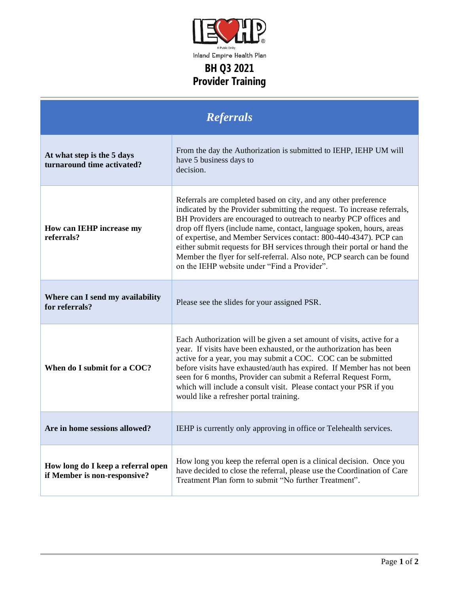

Inland Empire Health Plan

## **BH Q3 2021 Provider Training**

| <b>Referrals</b>                                                   |                                                                                                                                                                                                                                                                                                                                                                                                                                                                                                                                                                     |
|--------------------------------------------------------------------|---------------------------------------------------------------------------------------------------------------------------------------------------------------------------------------------------------------------------------------------------------------------------------------------------------------------------------------------------------------------------------------------------------------------------------------------------------------------------------------------------------------------------------------------------------------------|
| At what step is the 5 days<br>turnaround time activated?           | From the day the Authorization is submitted to IEHP, IEHP UM will<br>have 5 business days to<br>decision.                                                                                                                                                                                                                                                                                                                                                                                                                                                           |
| How can IEHP increase my<br>referrals?                             | Referrals are completed based on city, and any other preference<br>indicated by the Provider submitting the request. To increase referrals,<br>BH Providers are encouraged to outreach to nearby PCP offices and<br>drop off flyers (include name, contact, language spoken, hours, areas<br>of expertise, and Member Services contact: 800-440-4347). PCP can<br>either submit requests for BH services through their portal or hand the<br>Member the flyer for self-referral. Also note, PCP search can be found<br>on the IEHP website under "Find a Provider". |
| Where can I send my availability<br>for referrals?                 | Please see the slides for your assigned PSR.                                                                                                                                                                                                                                                                                                                                                                                                                                                                                                                        |
| When do I submit for a COC?                                        | Each Authorization will be given a set amount of visits, active for a<br>year. If visits have been exhausted, or the authorization has been<br>active for a year, you may submit a COC. COC can be submitted<br>before visits have exhausted/auth has expired. If Member has not been<br>seen for 6 months, Provider can submit a Referral Request Form,<br>which will include a consult visit. Please contact your PSR if you<br>would like a refresher portal training.                                                                                           |
| Are in home sessions allowed?                                      | IEHP is currently only approving in office or Telehealth services.                                                                                                                                                                                                                                                                                                                                                                                                                                                                                                  |
| How long do I keep a referral open<br>if Member is non-responsive? | How long you keep the referral open is a clinical decision. Once you<br>have decided to close the referral, please use the Coordination of Care<br>Treatment Plan form to submit "No further Treatment".                                                                                                                                                                                                                                                                                                                                                            |